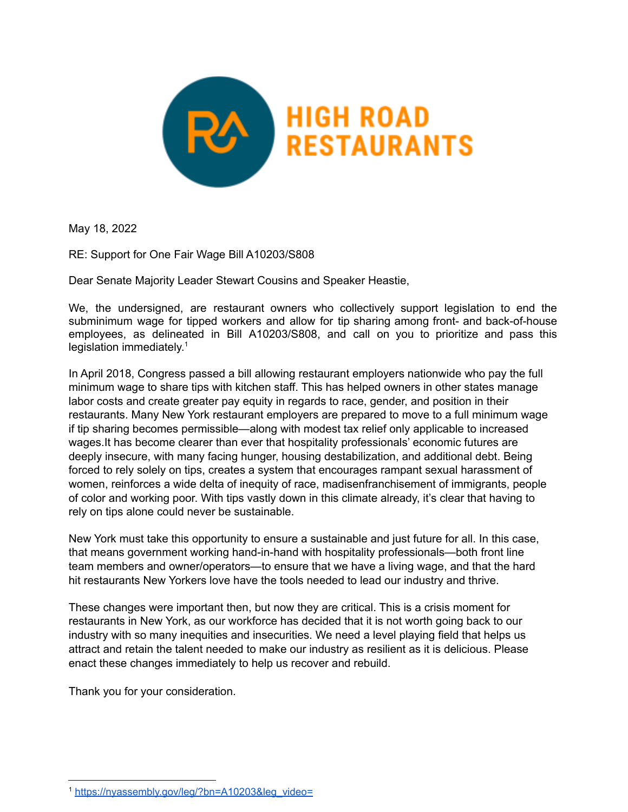

May 18, 2022

RE: Support for One Fair Wage Bill A10203/S808

Dear Senate Majority Leader Stewart Cousins and Speaker Heastie,

We, the undersigned, are restaurant owners who collectively support legislation to end the subminimum wage for tipped workers and allow for tip sharing among front- and back-of-house employees, as delineated in Bill A10203/S808, and call on you to prioritize and pass this legislation immediately. 1

In April 2018, Congress passed a bill allowing restaurant employers nationwide who pay the full minimum wage to share tips with kitchen staff. This has helped owners in other states manage labor costs and create greater pay equity in regards to race, gender, and position in their restaurants. Many New York restaurant employers are prepared to move to a full minimum wage if tip sharing becomes permissible—along with modest tax relief only applicable to increased wages.It has become clearer than ever that hospitality professionals' economic futures are deeply insecure, with many facing hunger, housing destabilization, and additional debt. Being forced to rely solely on tips, creates a system that encourages rampant sexual harassment of women, reinforces a wide delta of inequity of race, madisenfranchisement of immigrants, people of color and working poor. With tips vastly down in this climate already, it's clear that having to rely on tips alone could never be sustainable.

New York must take this opportunity to ensure a sustainable and just future for all. In this case, that means government working hand-in-hand with hospitality professionals—both front line team members and owner/operators—to ensure that we have a living wage, and that the hard hit restaurants New Yorkers love have the tools needed to lead our industry and thrive.

These changes were important then, but now they are critical. This is a crisis moment for restaurants in New York, as our workforce has decided that it is not worth going back to our industry with so many inequities and insecurities. We need a level playing field that helps us attract and retain the talent needed to make our industry as resilient as it is delicious. Please enact these changes immediately to help us recover and rebuild.

Thank you for your consideration.

<sup>1</sup> [https://nyassembly.gov/leg/?bn=A10203&leg\\_video=](https://nyassembly.gov/leg/?bn=A10203&leg_video=)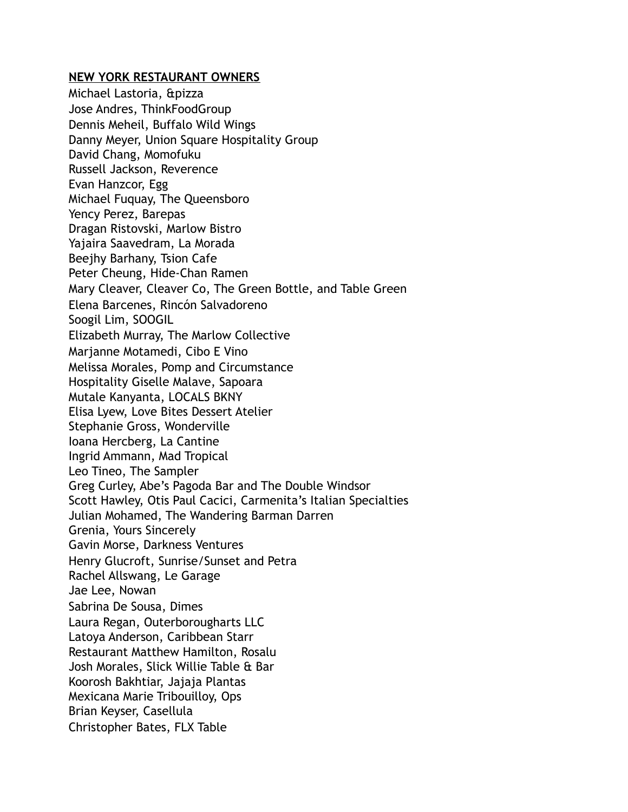## **NEW YORK RESTAURANT OWNERS**

Michael Lastoria, &pizza Jose Andres, ThinkFoodGroup Dennis Meheil, Buffalo Wild Wings Danny Meyer, Union Square Hospitality Group David Chang, Momofuku Russell Jackson, Reverence Evan Hanzcor, Egg Michael Fuquay, The Queensboro Yency Perez, Barepas Dragan Ristovski, Marlow Bistro Yajaira Saavedram, La Morada Beejhy Barhany, Tsion Cafe Peter Cheung, Hide-Chan Ramen Mary Cleaver, Cleaver Co, The Green Bottle, and Table Green Elena Barcenes, Rincón Salvadoreno Soogil Lim, SOOGIL Elizabeth Murray, The Marlow Collective Marjanne Motamedi, Cibo E Vino Melissa Morales, Pomp and Circumstance Hospitality Giselle Malave, Sapoara Mutale Kanyanta, LOCALS BKNY Elisa Lyew, Love Bites Dessert Atelier Stephanie Gross, Wonderville Ioana Hercberg, La Cantine Ingrid Ammann, Mad Tropical Leo Tineo, The Sampler Greg Curley, Abe's Pagoda Bar and The Double Windsor Scott Hawley, Otis Paul Cacici, Carmenita's Italian Specialties Julian Mohamed, The Wandering Barman Darren Grenia, Yours Sincerely Gavin Morse, Darkness Ventures Henry Glucroft, Sunrise/Sunset and Petra Rachel Allswang, Le Garage Jae Lee, Nowan Sabrina De Sousa, Dimes Laura Regan, Outerborougharts LLC Latoya Anderson, Caribbean Starr Restaurant Matthew Hamilton, Rosalu Josh Morales, Slick Willie Table & Bar Koorosh Bakhtiar, Jajaja Plantas Mexicana Marie Tribouilloy, Ops Brian Keyser, Casellula Christopher Bates, FLX Table